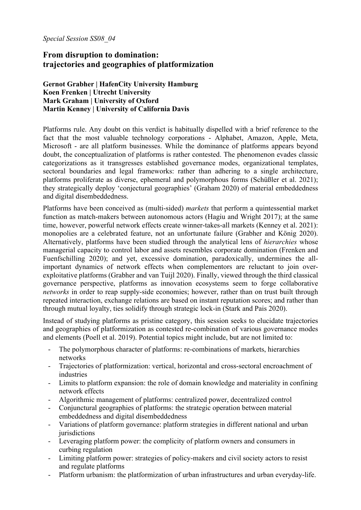*Special Session SS08\_04* 

## **From disruption to domination: trajectories and geographies of platformization**

**Gernot Grabher | HafenCity University Hamburg Koen Frenken | Utrecht University Mark Graham | University of Oxford Martin Kenney | University of California Davis**

Platforms rule. Any doubt on this verdict is habitually dispelled with a brief reference to the fact that the most valuable technology corporations - Alphabet, Amazon, Apple, Meta, Microsoft - are all platform businesses. While the dominance of platforms appears beyond doubt, the conceptualization of platforms is rather contested. The phenomenon evades classic categorizations as it transgresses established governance modes, organizational templates, sectoral boundaries and legal frameworks: rather than adhering to a single architecture, platforms proliferate as diverse, ephemeral and polymorphous forms (Schüßler et al. 2021); they strategically deploy 'conjectural geographies' (Graham 2020) of material embeddedness and digital disembeddedness.

Platforms have been conceived as (multi-sided) *markets* that perform a quintessential market function as match-makers between autonomous actors (Hagiu and Wright 2017); at the same time, however, powerful network effects create winner-takes-all markets (Kenney et al. 2021): monopolies are a celebrated feature, not an unfortunate failure (Grabher and König 2020). Alternatively, platforms have been studied through the analytical lens of *hierarchies* whose managerial capacity to control labor and assets resembles corporate domination (Frenken and Fuenfschilling 2020); and yet, excessive domination, paradoxically, undermines the allimportant dynamics of network effects when complementors are reluctant to join overexploitative platforms (Grabher and van Tuijl 2020). Finally, viewed through the third classical governance perspective, platforms as innovation ecosystems seem to forge collaborative *networks* in order to reap supply-side economies; however, rather than on trust built through repeated interaction, exchange relations are based on instant reputation scores; and rather than through mutual loyalty, ties solidify through strategic lock-in (Stark and Pais 2020).

Instead of studying platforms as pristine category, this session seeks to elucidate trajectories and geographies of platformization as contested re-combination of various governance modes and elements (Poell et al. 2019). Potential topics might include, but are not limited to:

- The polymorphous character of platforms: re-combinations of markets, hierarchies networks
- Trajectories of platformization: vertical, horizontal and cross-sectoral encroachment of industries
- Limits to platform expansion: the role of domain knowledge and materiality in confining network effects
- Algorithmic management of platforms: centralized power, decentralized control
- Conjunctural geographies of platforms: the strategic operation between material embeddedness and digital disembeddedness
- Variations of platform governance: platform strategies in different national and urban iurisdictions
- Leveraging platform power: the complicity of platform owners and consumers in curbing regulation
- Limiting platform power: strategies of policy-makers and civil society actors to resist and regulate platforms
- Platform urbanism: the platformization of urban infrastructures and urban everyday-life.